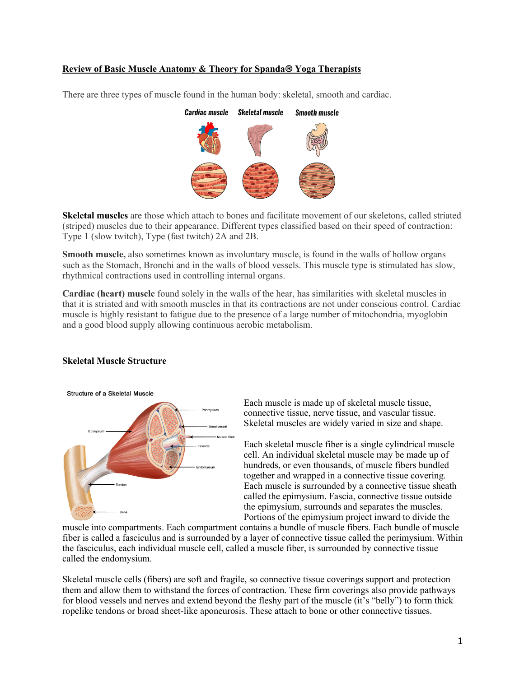# **Review of Basic Muscle Anatomy & Theory for Spanda**â **Yoga Therapists**

There are three types of muscle found in the human body: skeletal, smooth and cardiac.

# **Cardiac muscle Skeletal muscle Smooth muscle**

**Skeletal muscles** are those which attach to bones and facilitate movement of our skeletons, called striated (striped) muscles due to their appearance. Different types classified based on their speed of contraction: Type 1 (slow twitch), Type (fast twitch) 2A and 2B.

**Smooth muscle,** also sometimes known as involuntary muscle, is found in the walls of hollow organs such as the Stomach, Bronchi and in the walls of blood vessels. This muscle type is stimulated has slow, rhythmical contractions used in controlling internal organs.

**Cardiac (heart) muscle** found solely in the walls of the hear, has similarities with skeletal muscles in that it is striated and with smooth muscles in that its contractions are not under conscious control. Cardiac muscle is highly resistant to fatigue due to the presence of a large number of mitochondria, myoglobin and a good blood supply allowing continuous aerobic metabolism.

## **Skeletal Muscle Structure**

Structure of a Skeletal Muscle



Each muscle is made up of skeletal muscle tissue, connective tissue, nerve tissue, and vascular tissue. Skeletal muscles are widely varied in size and shape.

Each skeletal muscle fiber is a single cylindrical muscle cell. An individual skeletal muscle may be made up of hundreds, or even thousands, of muscle fibers bundled together and wrapped in a connective tissue covering. Each muscle is surrounded by a connective tissue sheath called the epimysium. Fascia, connective tissue outside the epimysium, surrounds and separates the muscles. Portions of the epimysium project inward to divide the

muscle into compartments. Each compartment contains a bundle of muscle fibers. Each bundle of muscle fiber is called a fasciculus and is surrounded by a layer of connective tissue called the perimysium. Within the fasciculus, each individual muscle cell, called a muscle fiber, is surrounded by connective tissue called the endomysium.

Skeletal muscle cells (fibers) are soft and fragile, so connective tissue coverings support and protection them and allow them to withstand the forces of contraction. These firm coverings also provide pathways for blood vessels and nerves and extend beyond the fleshy part of the muscle (it's "belly") to form thick ropelike tendons or broad sheet-like aponeurosis. These attach to bone or other connective tissues.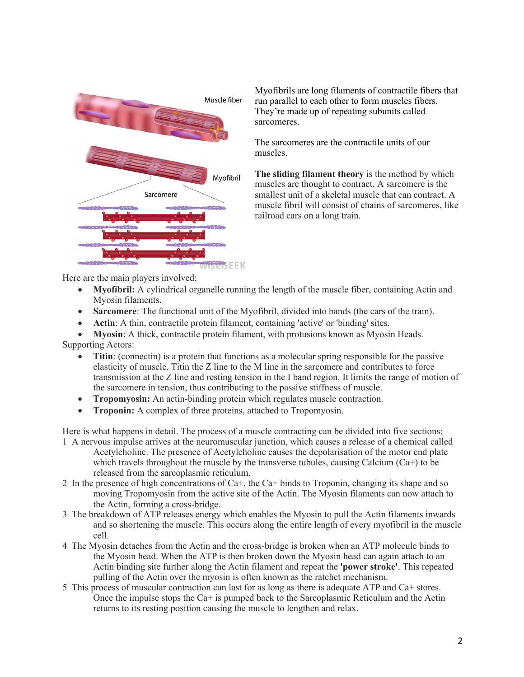

Myofibrils are long filaments of contractile fibers that run parallel to each other to form muscles fibers. They're made up of repeating subunits called sarcomeres.

The sarcomeres are the contractile units of our muscles.

**The sliding filament theory** is the method by which muscles are thought to contract. A sarcomere is the smallest unit of a skeletal muscle that can contract. A muscle fibril will consist of chains of sarcomeres, like railroad cars on a long train.

Here are the main players involved:

- **Myofibril:** A cylindrical organelle running the length of the muscle fiber, containing Actin and Myosin filaments.
- **Sarcomere:** The functional unit of the Myofibril, divided into bands (the cars of the train).
- **Actin**: A thin, contractile protein filament, containing 'active' or 'binding' sites.
- **Myosin**: A thick, contractile protein filament, with protusions known as Myosin Heads.

Supporting Actors:

- **Titin**: (connectin) is a protein that functions as a molecular spring responsible for the passive elasticity of muscle. Titin the Z line to the M line in the sarcomere and contributes to force transmission at the Z line and resting tension in the I band region. It limits the range of motion of the sarcomere in tension, thus contributing to the passive stiffness of muscle.
- **Tropomyosin:** An actin-binding protein which regulates muscle contraction.
- **Troponin:** A complex of three proteins, attached to Tropomyosin.

Here is what happens in detail. The process of a muscle contracting can be divided into five sections:

- 1 A nervous impulse arrives at the neuromuscular junction, which causes a release of a chemical called Acetylcholine. The presence of Acetylcholine causes the depolarisation of the motor end plate which travels throughout the muscle by the transverse tubules, causing Calcium  $(Ca+)$  to be released from the sarcoplasmic reticulum.
- 2 In the presence of high concentrations of Ca+, the Ca+ binds to Troponin, changing its shape and so moving Tropomyosin from the active site of the Actin. The Myosin filaments can now attach to the Actin, forming a cross-bridge.
- 3 The breakdown of ATP releases energy which enables the Myosin to pull the Actin filaments inwards and so shortening the muscle. This occurs along the entire length of every myofibril in the muscle cell.
- 4 The Myosin detaches from the Actin and the cross-bridge is broken when an ATP molecule binds to the Myosin head. When the ATP is then broken down the Myosin head can again attach to an Actin binding site further along the Actin filament and repeat the **'power stroke'**. This repeated pulling of the Actin over the myosin is often known as the ratchet mechanism.
- 5 This process of muscular contraction can last for as long as there is adequate ATP and Ca+ stores. Once the impulse stops the Ca+ is pumped back to the Sarcoplasmic Reticulum and the Actin returns to its resting position causing the muscle to lengthen and relax.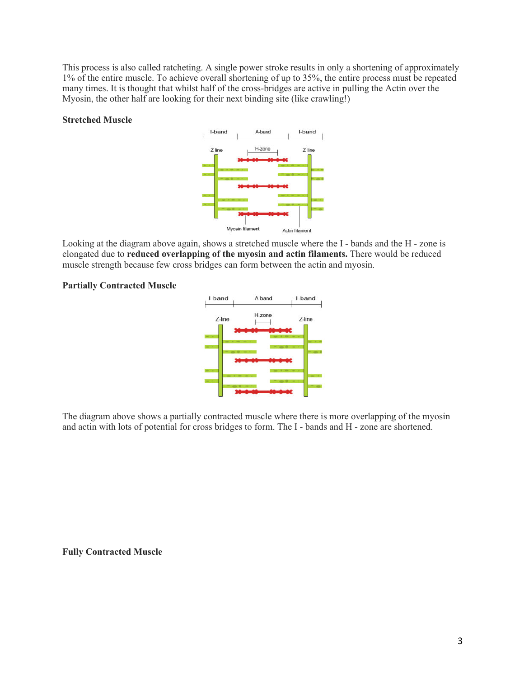This process is also called ratcheting. A single power stroke results in only a shortening of approximately 1% of the entire muscle. To achieve overall shortening of up to 35%, the entire process must be repeated many times. It is thought that whilst half of the cross-bridges are active in pulling the Actin over the Myosin, the other half are looking for their next binding site (like crawling!)

#### **Stretched Muscle**



Looking at the diagram above again, shows a stretched muscle where the I - bands and the H - zone is elongated due to **reduced overlapping of the myosin and actin filaments.** There would be reduced muscle strength because few cross bridges can form between the actin and myosin.

#### **Partially Contracted Muscle**



The diagram above shows a partially contracted muscle where there is more overlapping of the myosin and actin with lots of potential for cross bridges to form. The I - bands and H - zone are shortened.

**Fully Contracted Muscle**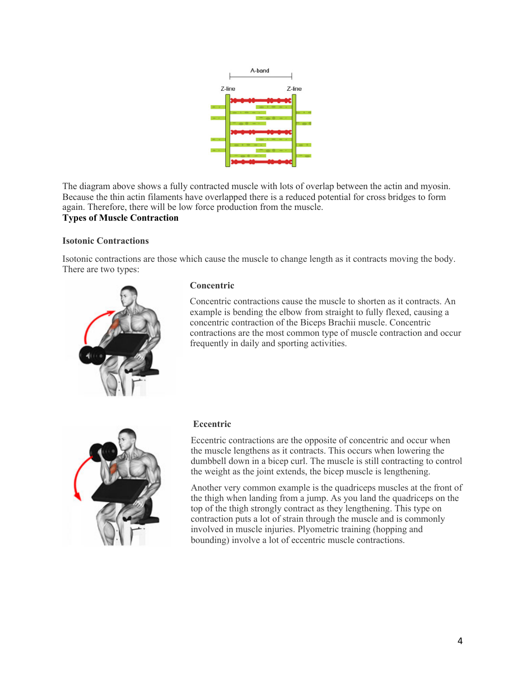

The diagram above shows a fully contracted muscle with lots of overlap between the actin and myosin. Because the thin actin filaments have overlapped there is a reduced potential for cross bridges to form again. Therefore, there will be low force production from the muscle.

# **Types of Muscle Contraction**

## **Isotonic Contractions**

Isotonic contractions are those which cause the muscle to change length as it contracts moving the body. There are two types:



#### **Concentric**

Concentric contractions cause the muscle to shorten as it contracts. An example is bending the elbow from straight to fully flexed, causing a concentric contraction of the Biceps Brachii muscle. Concentric contractions are the most common type of muscle contraction and occur frequently in daily and sporting activities.



## **Eccentric**

Eccentric contractions are the opposite of concentric and occur when the muscle lengthens as it contracts. This occurs when lowering the dumbbell down in a bicep curl. The muscle is still contracting to control the weight as the joint extends, the bicep muscle is lengthening.

Another very common example is the quadriceps muscles at the front of the thigh when landing from a jump. As you land the quadriceps on the top of the thigh strongly contract as they lengthening. This type on contraction puts a lot of strain through the muscle and is commonly involved in muscle injuries. Plyometric training (hopping and bounding) involve a lot of eccentric muscle contractions.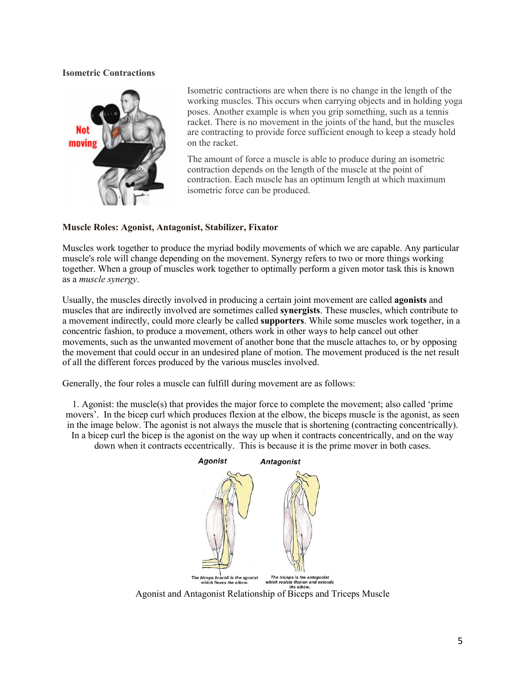## **Isometric Contractions**



Isometric contractions are when there is no change in the length of the working muscles. This occurs when carrying objects and in holding yoga poses. Another example is when you grip something, such as a tennis racket. There is no movement in the joints of the hand, but the muscles are contracting to provide force sufficient enough to keep a steady hold on the racket.

The amount of force a muscle is able to produce during an isometric contraction depends on the length of the muscle at the point of contraction. Each muscle has an optimum length at which maximum isometric force can be produced.

# **Muscle Roles: Agonist, Antagonist, Stabilizer, Fixator**

Muscles work together to produce the myriad bodily movements of which we are capable. Any particular muscle's role will change depending on the movement. Synergy refers to two or more things working together. When a group of muscles work together to optimally perform a given motor task this is known as a *muscle synergy*.

Usually, the muscles directly involved in producing a certain joint movement are called **agonists** and muscles that are indirectly involved are sometimes called **synergists**. These muscles, which contribute to a movement indirectly, could more clearly be called **supporters**. While some muscles work together, in a concentric fashion, to produce a movement, others work in other ways to help cancel out other movements, such as the unwanted movement of another bone that the muscle attaches to, or by opposing the movement that could occur in an undesired plane of motion. The movement produced is the net result of all the different forces produced by the various muscles involved.

Generally, the four roles a muscle can fulfill during movement are as follows:

1. Agonist: the muscle(s) that provides the major force to complete the movement; also called 'prime movers'. In the bicep curl which produces flexion at the elbow, the biceps muscle is the agonist, as seen in the image below. The agonist is not always the muscle that is shortening (contracting concentrically). In a bicep curl the bicep is the agonist on the way up when it contracts concentrically, and on the way down when it contracts eccentrically. This is because it is the prime mover in both cases.

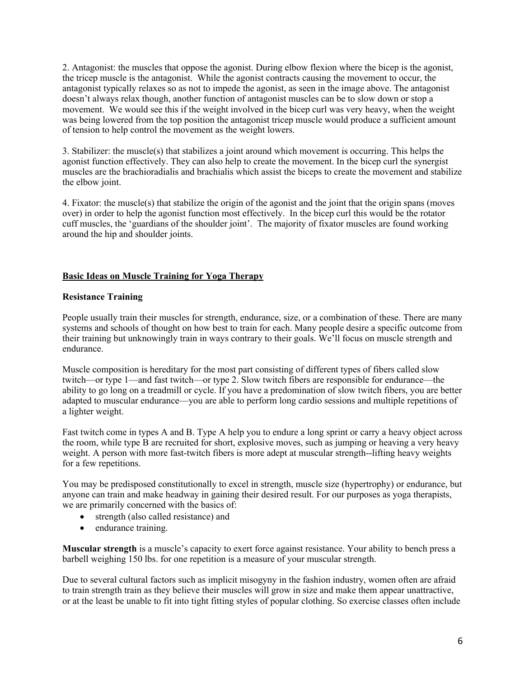2. Antagonist: the muscles that oppose the agonist. During elbow flexion where the bicep is the agonist, the tricep muscle is the antagonist. While the agonist contracts causing the movement to occur, the antagonist typically relaxes so as not to impede the agonist, as seen in the image above. The antagonist doesn't always relax though, another function of antagonist muscles can be to slow down or stop a movement. We would see this if the weight involved in the bicep curl was very heavy, when the weight was being lowered from the top position the antagonist tricep muscle would produce a sufficient amount of tension to help control the movement as the weight lowers.

3. Stabilizer: the muscle(s) that stabilizes a joint around which movement is occurring. This helps the agonist function effectively. They can also help to create the movement. In the bicep curl the synergist muscles are the brachioradialis and brachialis which assist the biceps to create the movement and stabilize the elbow joint.

4. Fixator: the muscle(s) that stabilize the origin of the agonist and the joint that the origin spans (moves over) in order to help the agonist function most effectively. In the bicep curl this would be the rotator cuff muscles, the 'guardians of the shoulder joint'. The majority of fixator muscles are found working around the hip and shoulder joints.

# **Basic Ideas on Muscle Training for Yoga Therapy**

# **Resistance Training**

People usually train their muscles for strength, endurance, size, or a combination of these. There are many systems and schools of thought on how best to train for each. Many people desire a specific outcome from their training but unknowingly train in ways contrary to their goals. We'll focus on muscle strength and endurance.

Muscle composition is hereditary for the most part consisting of different types of fibers called slow twitch—or type 1—and fast twitch—or type 2. Slow twitch fibers are responsible for endurance—the ability to go long on a treadmill or cycle. If you have a predomination of slow twitch fibers, you are better adapted to muscular endurance—you are able to perform long cardio sessions and multiple repetitions of a lighter weight.

Fast twitch come in types A and B. Type A help you to endure a long sprint or carry a heavy object across the room, while type B are recruited for short, explosive moves, such as jumping or heaving a very heavy weight. A person with more fast-twitch fibers is more adept at muscular strength--lifting heavy weights for a few repetitions.

You may be predisposed constitutionally to excel in strength, muscle size (hypertrophy) or endurance, but anyone can train and make headway in gaining their desired result. For our purposes as yoga therapists, we are primarily concerned with the basics of:

- strength (also called resistance) and
- endurance training.

**Muscular strength** is a muscle's capacity to exert force against resistance. Your ability to bench press a barbell weighing 150 lbs. for one repetition is a measure of your muscular strength.

Due to several cultural factors such as implicit misogyny in the fashion industry, women often are afraid to train strength train as they believe their muscles will grow in size and make them appear unattractive, or at the least be unable to fit into tight fitting styles of popular clothing. So exercise classes often include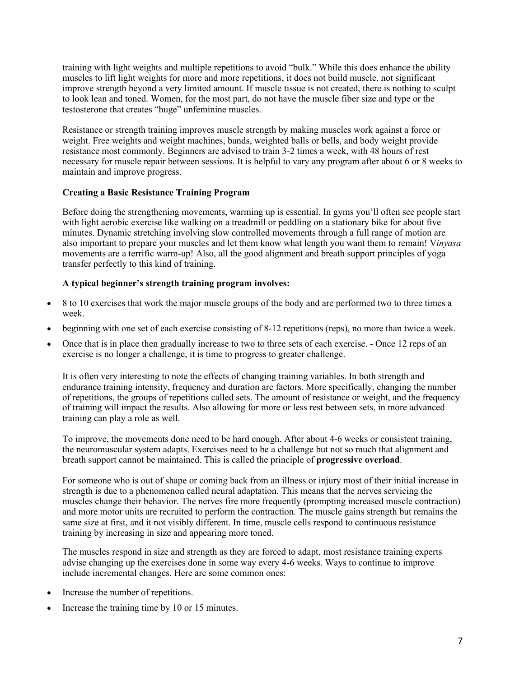training with light weights and multiple repetitions to avoid "bulk." While this does enhance the ability muscles to lift light weights for more and more repetitions, it does not build muscle, not significant improve strength beyond a very limited amount. If muscle tissue is not created, there is nothing to sculpt to look lean and toned. Women, for the most part, do not have the muscle fiber size and type or the testosterone that creates "huge" unfeminine muscles.

Resistance or strength training improves muscle strength by making muscles work against a force or weight. Free weights and weight machines, bands, weighted balls or bells, and body weight provide resistance most commonly. Beginners are advised to train 3-2 times a week, with 48 hours of rest necessary for muscle repair between sessions. It is helpful to vary any program after about 6 or 8 weeks to maintain and improve progress.

# **Creating a Basic Resistance Training Program**

Before doing the strengthening movements, warming up is essential. In gyms you'll often see people start with light aerobic exercise like walking on a treadmill or peddling on a stationary bike for about five minutes. Dynamic stretching involving slow controlled movements through a full range of motion are also important to prepare your muscles and let them know what length you want them to remain! V*inyasa* movements are a terrific warm-up! Also, all the good alignment and breath support principles of yoga transfer perfectly to this kind of training.

# **A typical beginner's strength training program involves:**

- 8 to 10 exercises that work the major muscle groups of the body and are performed two to three times a week.
- beginning with one set of each exercise consisting of 8-12 repetitions (reps), no more than twice a week.
- Once that is in place then gradually increase to two to three sets of each exercise. Once 12 reps of an exercise is no longer a challenge, it is time to progress to greater challenge.

It is often very interesting to note the effects of changing training variables. In both strength and endurance training intensity, frequency and duration are factors. More specifically, changing the number of repetitions, the groups of repetitions called sets. The amount of resistance or weight, and the frequency of training will impact the results. Also allowing for more or less rest between sets, in more advanced training can play a role as well.

To improve, the movements done need to be hard enough. After about 4-6 weeks or consistent training, the neuromuscular system adapts. Exercises need to be a challenge but not so much that alignment and breath support cannot be maintained. This is called the principle of **progressive overload**.

For someone who is out of shape or coming back from an illness or injury most of their initial increase in strength is due to a phenomenon called neural adaptation. This means that the nerves servicing the muscles change their behavior. The nerves fire more frequently (prompting increased muscle contraction) and more motor units are recruited to perform the contraction. The muscle gains strength but remains the same size at first, and it not visibly different. In time, muscle cells respond to continuous resistance training by increasing in size and appearing more toned.

The muscles respond in size and strength as they are forced to adapt, most resistance training experts advise changing up the exercises done in some way every 4-6 weeks. Ways to continue to improve include incremental changes. Here are some common ones:

- Increase the number of repetitions.
- Increase the training time by 10 or 15 minutes.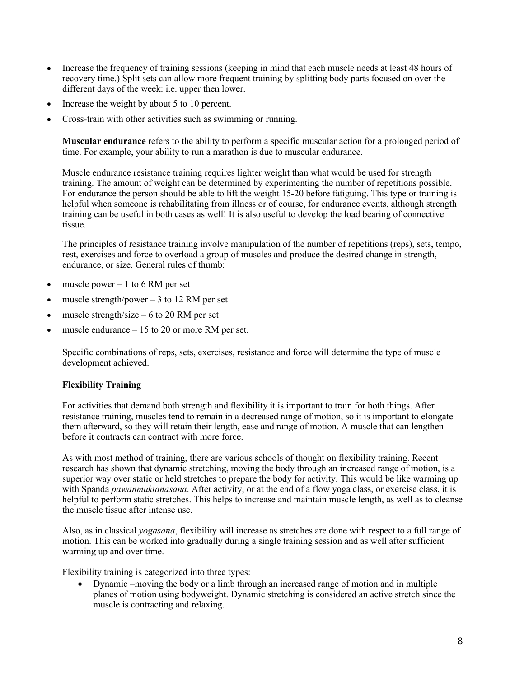- Increase the frequency of training sessions (keeping in mind that each muscle needs at least 48 hours of recovery time.) Split sets can allow more frequent training by splitting body parts focused on over the different days of the week: i.e. upper then lower.
- Increase the weight by about 5 to 10 percent.
- Cross-train with other activities such as swimming or running.

**Muscular endurance** refers to the ability to perform a specific muscular action for a prolonged period of time. For example, your ability to run a marathon is due to muscular endurance.

Muscle endurance resistance training requires lighter weight than what would be used for strength training. The amount of weight can be determined by experimenting the number of repetitions possible. For endurance the person should be able to lift the weight 15-20 before fatiguing. This type or training is helpful when someone is rehabilitating from illness or of course, for endurance events, although strength training can be useful in both cases as well! It is also useful to develop the load bearing of connective tissue.

The principles of resistance training involve manipulation of the number of repetitions (reps), sets, tempo, rest, exercises and force to overload a group of muscles and produce the desired change in strength, endurance, or size. General rules of thumb:

- muscle power  $-1$  to 6 RM per set
- muscle strength/power  $-3$  to 12 RM per set
- muscle strength/size  $-6$  to 20 RM per set
- muscle endurance  $-15$  to 20 or more RM per set.

Specific combinations of reps, sets, exercises, resistance and force will determine the type of muscle development achieved.

#### **Flexibility Training**

For activities that demand both strength and flexibility it is important to train for both things. After resistance training, muscles tend to remain in a decreased range of motion, so it is important to elongate them afterward, so they will retain their length, ease and range of motion. A muscle that can lengthen before it contracts can contract with more force.

As with most method of training, there are various schools of thought on flexibility training. Recent research has shown that dynamic stretching, moving the body through an increased range of motion, is a superior way over static or held stretches to prepare the body for activity. This would be like warming up with Spanda *pawanmuktanasana*. After activity, or at the end of a flow yoga class, or exercise class, it is helpful to perform static stretches. This helps to increase and maintain muscle length, as well as to cleanse the muscle tissue after intense use.

Also, as in classical *yogasana*, flexibility will increase as stretches are done with respect to a full range of motion. This can be worked into gradually during a single training session and as well after sufficient warming up and over time.

Flexibility training is categorized into three types:

• Dynamic –moving the body or a limb through an increased range of motion and in multiple planes of motion using bodyweight. Dynamic stretching is considered an active stretch since the muscle is contracting and relaxing.